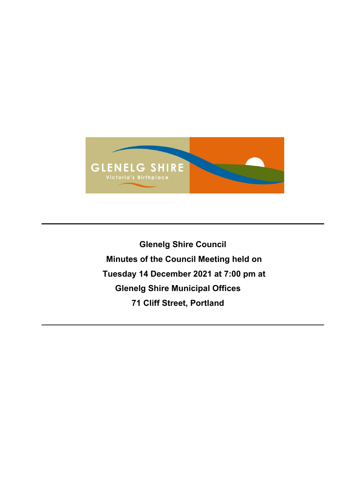

**Glenelg Shire Council Minutes of the Council Meeting held on Tuesday 14 December 2021 at 7:00 pm at Glenelg Shire Municipal Offices 71 Cliff Street, Portland**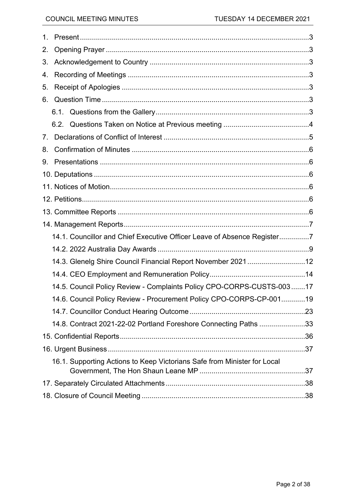| 1. |                                                                          |  |  |
|----|--------------------------------------------------------------------------|--|--|
| 2. |                                                                          |  |  |
| 3. |                                                                          |  |  |
| 4. |                                                                          |  |  |
| 5. |                                                                          |  |  |
| 6. |                                                                          |  |  |
|    |                                                                          |  |  |
|    | 6.2.                                                                     |  |  |
| 7. |                                                                          |  |  |
| 8. |                                                                          |  |  |
| 9. |                                                                          |  |  |
|    |                                                                          |  |  |
|    |                                                                          |  |  |
|    |                                                                          |  |  |
|    |                                                                          |  |  |
|    |                                                                          |  |  |
|    | 14.1. Councillor and Chief Executive Officer Leave of Absence Register7  |  |  |
|    |                                                                          |  |  |
|    | 14.3. Glenelg Shire Council Financial Report November 2021 12            |  |  |
|    |                                                                          |  |  |
|    | 14.5. Council Policy Review - Complaints Policy CPO-CORPS-CUSTS-003  17  |  |  |
|    | 14.6. Council Policy Review - Procurement Policy CPO-CORPS-CP-00119      |  |  |
|    |                                                                          |  |  |
|    | 14.8. Contract 2021-22-02 Portland Foreshore Connecting Paths 33         |  |  |
|    |                                                                          |  |  |
|    |                                                                          |  |  |
|    | 16.1. Supporting Actions to Keep Victorians Safe from Minister for Local |  |  |
|    |                                                                          |  |  |
|    |                                                                          |  |  |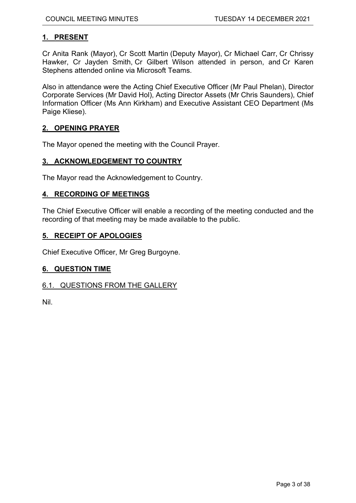# <span id="page-2-0"></span>**1. PRESENT**

Cr Anita Rank (Mayor), Cr Scott Martin (Deputy Mayor), Cr Michael Carr, Cr Chrissy Hawker, Cr Jayden Smith, Cr Gilbert Wilson attended in person, and Cr Karen Stephens attended online via Microsoft Teams.

Also in attendance were the Acting Chief Executive Officer (Mr Paul Phelan), Director Corporate Services (Mr David Hol), Acting Director Assets (Mr Chris Saunders), Chief Information Officer (Ms Ann Kirkham) and Executive Assistant CEO Department (Ms Paige Kliese).

## <span id="page-2-1"></span>**2. OPENING PRAYER**

The Mayor opened the meeting with the Council Prayer.

## <span id="page-2-2"></span>**3. ACKNOWLEDGEMENT TO COUNTRY**

The Mayor read the Acknowledgement to Country.

## <span id="page-2-3"></span>**4. RECORDING OF MEETINGS**

The Chief Executive Officer will enable a recording of the meeting conducted and the recording of that meeting may be made available to the public.

## <span id="page-2-4"></span>**5. RECEIPT OF APOLOGIES**

Chief Executive Officer, Mr Greg Burgoyne.

## <span id="page-2-5"></span>**6. QUESTION TIME**

## <span id="page-2-6"></span>6.1. QUESTIONS FROM THE GALLERY

Nil.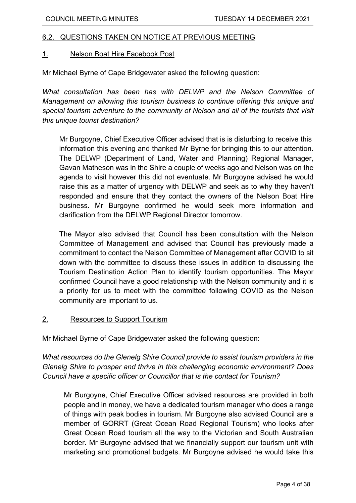# <span id="page-3-0"></span>6.2. QUESTIONS TAKEN ON NOTICE AT PREVIOUS MEETING

## 1. Nelson Boat Hire Facebook Post

Mr Michael Byrne of Cape Bridgewater asked the following question:

*What consultation has been has with DELWP and the Nelson Committee of Management on allowing this tourism business to continue offering this unique and special tourism adventure to the community of Nelson and all of the tourists that visit this unique tourist destination?*

Mr Burgoyne, Chief Executive Officer advised that is is disturbing to receive this information this evening and thanked Mr Byrne for bringing this to our attention. The DELWP (Department of Land, Water and Planning) Regional Manager, Gavan Matheson was in the Shire a couple of weeks ago and Nelson was on the agenda to visit however this did not eventuate. Mr Burgoyne advised he would raise this as a matter of urgency with DELWP and seek as to why they haven't responded and ensure that they contact the owners of the Nelson Boat Hire business. Mr Burgoyne confirmed he would seek more information and clarification from the DELWP Regional Director tomorrow.

The Mayor also advised that Council has been consultation with the Nelson Committee of Management and advised that Council has previously made a commitment to contact the Nelson Committee of Management after COVID to sit down with the committee to discuss these issues in addition to discussing the Tourism Destination Action Plan to identify tourism opportunities. The Mayor confirmed Council have a good relationship with the Nelson community and it is a priority for us to meet with the committee following COVID as the Nelson community are important to us.

# 2. Resources to Support Tourism

Mr Michael Byrne of Cape Bridgewater asked the following question:

*What resources do the Glenelg Shire Council provide to assist tourism providers in the Glenelg Shire to prosper and thrive in this challenging economic environment? Does Council have a specific officer or Councillor that is the contact for Tourism?*

Mr Burgoyne, Chief Executive Officer advised resources are provided in both people and in money, we have a dedicated tourism manager who does a range of things with peak bodies in tourism. Mr Burgoyne also advised Council are a member of GORRT (Great Ocean Road Regional Tourism) who looks after Great Ocean Road tourism all the way to the Victorian and South Australian border. Mr Burgoyne advised that we financially support our tourism unit with marketing and promotional budgets. Mr Burgoyne advised he would take this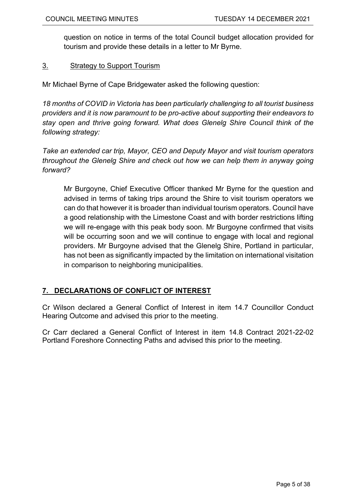question on notice in terms of the total Council budget allocation provided for tourism and provide these details in a letter to Mr Byrne.

# 3. Strategy to Support Tourism

Mr Michael Byrne of Cape Bridgewater asked the following question:

*18 months of COVID in Victoria has been particularly challenging to all tourist business providers and it is now paramount to be pro-active about supporting their endeavors to stay open and thrive going forward. What does Glenelg Shire Council think of the following strategy:*

*Take an extended car trip, Mayor, CEO and Deputy Mayor and visit tourism operators throughout the Glenelg Shire and check out how we can help them in anyway going forward?*

Mr Burgoyne, Chief Executive Officer thanked Mr Byrne for the question and advised in terms of taking trips around the Shire to visit tourism operators we can do that however it is broader than individual tourism operators. Council have a good relationship with the Limestone Coast and with border restrictions lifting we will re-engage with this peak body soon. Mr Burgoyne confirmed that visits will be occurring soon and we will continue to engage with local and regional providers. Mr Burgoyne advised that the Glenelg Shire, Portland in particular, has not been as significantly impacted by the limitation on international visitation in comparison to neighboring municipalities.

# <span id="page-4-0"></span>**7. DECLARATIONS OF CONFLICT OF INTEREST**

Cr Wilson declared a General Conflict of Interest in item 14.7 Councillor Conduct Hearing Outcome and advised this prior to the meeting.

Cr Carr declared a General Conflict of Interest in item 14.8 Contract 2021-22-02 Portland Foreshore Connecting Paths and advised this prior to the meeting.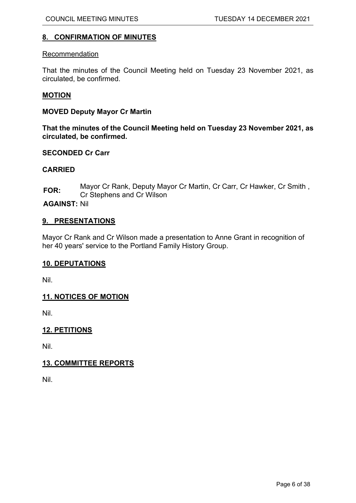# <span id="page-5-0"></span>**8. CONFIRMATION OF MINUTES**

#### Recommendation

That the minutes of the Council Meeting held on Tuesday 23 November 2021, as circulated, be confirmed.

## **MOTION**

## **MOVED Deputy Mayor Cr Martin**

**That the minutes of the Council Meeting held on Tuesday 23 November 2021, as circulated, be confirmed.**

## **SECONDED Cr Carr**

## **CARRIED**

**FOR:** Mayor Cr Rank, Deputy Mayor Cr Martin, Cr Carr, Cr Hawker, Cr Smith , Cr Stephens and Cr Wilson

**AGAINST:** Nil

## <span id="page-5-1"></span>**9. PRESENTATIONS**

Mayor Cr Rank and Cr Wilson made a presentation to Anne Grant in recognition of her 40 years' service to the Portland Family History Group.

## <span id="page-5-2"></span>**10. DEPUTATIONS**

Nil.

# <span id="page-5-3"></span>**11. NOTICES OF MOTION**

Nil.

# <span id="page-5-4"></span>**12. PETITIONS**

Nil.

# <span id="page-5-5"></span>**13. COMMITTEE REPORTS**

Nil.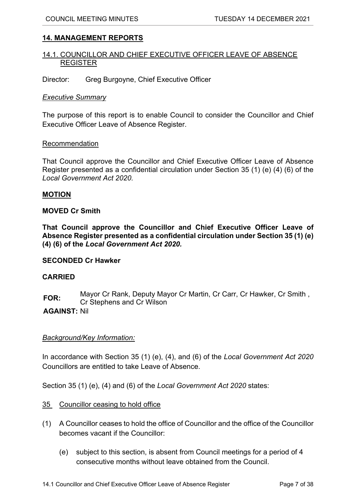# <span id="page-6-0"></span>**14. MANAGEMENT REPORTS**

## <span id="page-6-1"></span>14.1. COUNCILLOR AND CHIEF EXECUTIVE OFFICER LEAVE OF ABSENCE REGISTER

Director: Greg Burgoyne, Chief Executive Officer

## *Executive Summary*

The purpose of this report is to enable Council to consider the Councillor and Chief Executive Officer Leave of Absence Register.

## Recommendation

That Council approve the Councillor and Chief Executive Officer Leave of Absence Register presented as a confidential circulation under Section 35 (1) (e) (4) (6) of the *Local Government Act 2020.*

## **MOTION**

## **MOVED Cr Smith**

**That Council approve the Councillor and Chief Executive Officer Leave of Absence Register presented as a confidential circulation under Section 35 (1) (e) (4) (6) of the** *Local Government Act 2020.*

## **SECONDED Cr Hawker**

## **CARRIED**

**FOR:** Mayor Cr Rank, Deputy Mayor Cr Martin, Cr Carr, Cr Hawker, Cr Smith , Cr Stephens and Cr Wilson

## **AGAINST:** Nil

# *Background/Key Information:*

In accordance with Section 35 (1) (e), (4), and (6) of the *Local Government Act 2020* Councillors are entitled to take Leave of Absence.

Section 35 (1) (e), (4) and (6) of the *Local Government Act 2020* states:

- 35 Councillor ceasing to hold office
- (1) A Councillor ceases to hold the office of Councillor and the office of the Councillor becomes vacant if the Councillor:
	- (e) subject to this section, is absent from Council meetings for a period of 4 consecutive months without leave obtained from the Council.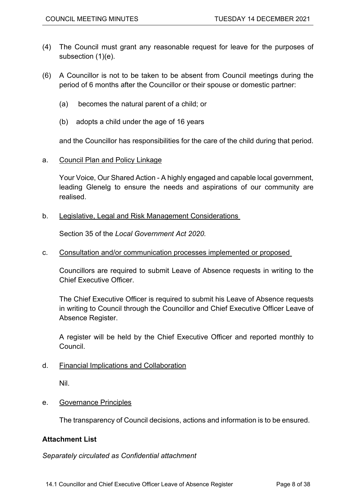- (4) The Council must grant any reasonable request for leave for the purposes of subsection (1)(e).
- (6) A Councillor is not to be taken to be absent from Council meetings during the period of 6 months after the Councillor or their spouse or domestic partner:
	- (a) becomes the natural parent of a child; or
	- (b) adopts a child under the age of 16 years

and the Councillor has responsibilities for the care of the child during that period.

a. Council Plan and Policy Linkage

Your Voice, Our Shared Action - A highly engaged and capable local government, leading Glenelg to ensure the needs and aspirations of our community are realised.

b. Legislative, Legal and Risk Management Considerations

Section 35 of the *Local Government Act 2020.*

c. Consultation and/or communication processes implemented or proposed

Councillors are required to submit Leave of Absence requests in writing to the Chief Executive Officer.

The Chief Executive Officer is required to submit his Leave of Absence requests in writing to Council through the Councillor and Chief Executive Officer Leave of Absence Register.

A register will be held by the Chief Executive Officer and reported monthly to Council.

d. Financial Implications and Collaboration

Nil.

e. Governance Principles

The transparency of Council decisions, actions and information is to be ensured.

# **Attachment List**

*Separately circulated as Confidential attachment*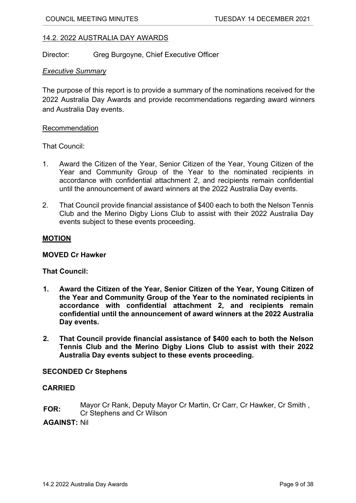# <span id="page-8-0"></span>14.2. 2022 AUSTRALIA DAY AWARDS

Director: Greg Burgoyne, Chief Executive Officer

## *Executive Summary*

The purpose of this report is to provide a summary of the nominations received for the 2022 Australia Day Awards and provide recommendations regarding award winners and Australia Day events.

## Recommendation

That Council:

- 1. Award the Citizen of the Year, Senior Citizen of the Year, Young Citizen of the Year and Community Group of the Year to the nominated recipients in accordance with confidential attachment 2, and recipients remain confidential until the announcement of award winners at the 2022 Australia Day events.
- 2. That Council provide financial assistance of \$400 each to both the Nelson Tennis Club and the Merino Digby Lions Club to assist with their 2022 Australia Day events subject to these events proceeding.

## **MOTION**

## **MOVED Cr Hawker**

# **That Council:**

- **1. Award the Citizen of the Year, Senior Citizen of the Year, Young Citizen of the Year and Community Group of the Year to the nominated recipients in accordance with confidential attachment 2, and recipients remain confidential until the announcement of award winners at the 2022 Australia Day events.**
- **2. That Council provide financial assistance of \$400 each to both the Nelson Tennis Club and the Merino Digby Lions Club to assist with their 2022 Australia Day events subject to these events proceeding.**

## **SECONDED Cr Stephens**

## **CARRIED**

**FOR:** Mayor Cr Rank, Deputy Mayor Cr Martin, Cr Carr, Cr Hawker, Cr Smith , Cr Stephens and Cr Wilson

**AGAINST:** Nil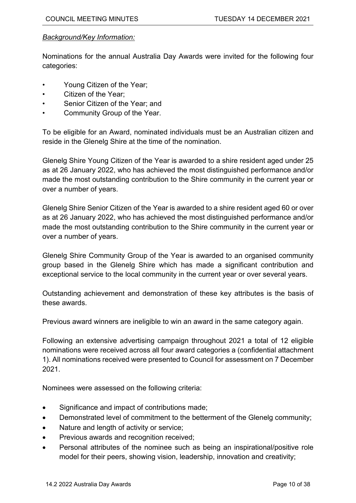# *Background/Key Information:*

Nominations for the annual Australia Day Awards were invited for the following four categories:

- Young Citizen of the Year;
- Citizen of the Year;
- Senior Citizen of the Year: and
- Community Group of the Year.

To be eligible for an Award, nominated individuals must be an Australian citizen and reside in the Glenelg Shire at the time of the nomination.

Glenelg Shire Young Citizen of the Year is awarded to a shire resident aged under 25 as at 26 January 2022, who has achieved the most distinguished performance and/or made the most outstanding contribution to the Shire community in the current year or over a number of years.

Glenelg Shire Senior Citizen of the Year is awarded to a shire resident aged 60 or over as at 26 January 2022, who has achieved the most distinguished performance and/or made the most outstanding contribution to the Shire community in the current year or over a number of years.

Glenelg Shire Community Group of the Year is awarded to an organised community group based in the Glenelg Shire which has made a significant contribution and exceptional service to the local community in the current year or over several years.

Outstanding achievement and demonstration of these key attributes is the basis of these awards.

Previous award winners are ineligible to win an award in the same category again.

Following an extensive advertising campaign throughout 2021 a total of 12 eligible nominations were received across all four award categories a (confidential attachment 1). All nominations received were presented to Council for assessment on 7 December 2021.

Nominees were assessed on the following criteria:

- Significance and impact of contributions made;
- Demonstrated level of commitment to the betterment of the Glenelg community;
- Nature and length of activity or service;
- Previous awards and recognition received;
- Personal attributes of the nominee such as being an inspirational/positive role model for their peers, showing vision, leadership, innovation and creativity;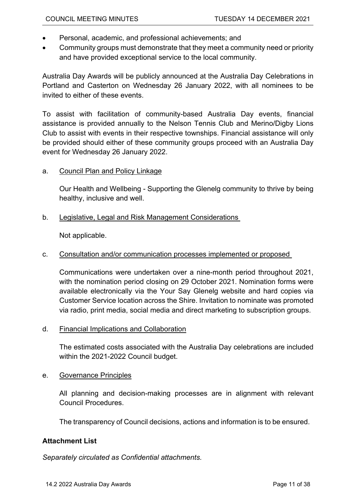- Personal, academic, and professional achievements; and
- Community groups must demonstrate that they meet a community need or priority and have provided exceptional service to the local community.

Australia Day Awards will be publicly announced at the Australia Day Celebrations in Portland and Casterton on Wednesday 26 January 2022, with all nominees to be invited to either of these events.

To assist with facilitation of community-based Australia Day events, financial assistance is provided annually to the Nelson Tennis Club and Merino/Digby Lions Club to assist with events in their respective townships. Financial assistance will only be provided should either of these community groups proceed with an Australia Day event for Wednesday 26 January 2022.

# a. Council Plan and Policy Linkage

Our Health and Wellbeing - Supporting the Glenelg community to thrive by being healthy, inclusive and well.

# b. Legislative, Legal and Risk Management Considerations

Not applicable.

# c. Consultation and/or communication processes implemented or proposed

Communications were undertaken over a nine-month period throughout 2021, with the nomination period closing on 29 October 2021. Nomination forms were available electronically via the Your Say Glenelg website and hard copies via Customer Service location across the Shire. Invitation to nominate was promoted via radio, print media, social media and direct marketing to subscription groups.

# d. Financial Implications and Collaboration

The estimated costs associated with the Australia Day celebrations are included within the 2021-2022 Council budget.

## e. Governance Principles

All planning and decision-making processes are in alignment with relevant Council Procedures.

The transparency of Council decisions, actions and information is to be ensured.

# **Attachment List**

*Separately circulated as Confidential attachments.*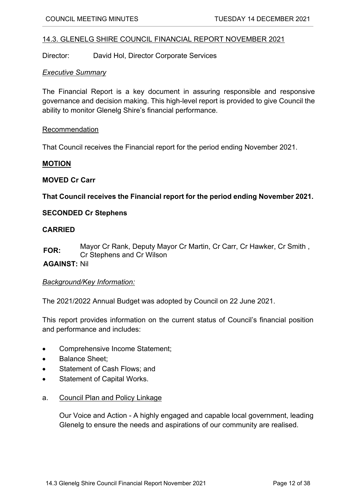## <span id="page-11-0"></span>14.3. GLENELG SHIRE COUNCIL FINANCIAL REPORT NOVEMBER 2021

Director: David Hol, Director Corporate Services

## *Executive Summary*

The Financial Report is a key document in assuring responsible and responsive governance and decision making. This high-level report is provided to give Council the ability to monitor Glenelg Shire's financial performance.

## Recommendation

That Council receives the Financial report for the period ending November 2021.

#### **MOTION**

## **MOVED Cr Carr**

**That Council receives the Financial report for the period ending November 2021.**

## **SECONDED Cr Stephens**

## **CARRIED**

**FOR:** Mayor Cr Rank, Deputy Mayor Cr Martin, Cr Carr, Cr Hawker, Cr Smith , Cr Stephens and Cr Wilson

## **AGAINST:** Nil

## *Background/Key Information:*

The 2021/2022 Annual Budget was adopted by Council on 22 June 2021.

This report provides information on the current status of Council's financial position and performance and includes:

- Comprehensive Income Statement;
- Balance Sheet:
- Statement of Cash Flows; and
- Statement of Capital Works.
- a. Council Plan and Policy Linkage

Our Voice and Action - A highly engaged and capable local government, leading Glenelg to ensure the needs and aspirations of our community are realised.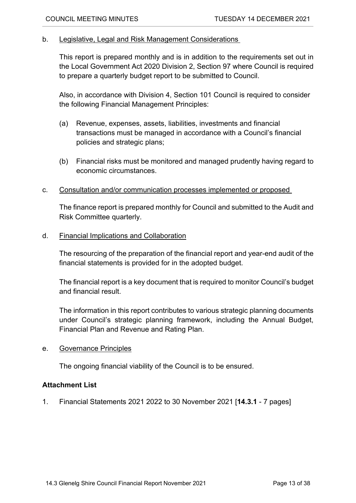# b. Legislative, Legal and Risk Management Considerations

This report is prepared monthly and is in addition to the requirements set out in the Local Government Act 2020 Division 2, Section 97 where Council is required to prepare a quarterly budget report to be submitted to Council.

Also, in accordance with Division 4, Section 101 Council is required to consider the following Financial Management Principles:

- (a) Revenue, expenses, assets, liabilities, investments and financial transactions must be managed in accordance with a Council's financial policies and strategic plans;
- (b) Financial risks must be monitored and managed prudently having regard to economic circumstances.
- c. Consultation and/or communication processes implemented or proposed

The finance report is prepared monthly for Council and submitted to the Audit and Risk Committee quarterly.

d. Financial Implications and Collaboration

The resourcing of the preparation of the financial report and year-end audit of the financial statements is provided for in the adopted budget.

The financial report is a key document that is required to monitor Council's budget and financial result.

The information in this report contributes to various strategic planning documents under Council's strategic planning framework, including the Annual Budget, Financial Plan and Revenue and Rating Plan.

e. Governance Principles

The ongoing financial viability of the Council is to be ensured.

# **Attachment List**

1. Financial Statements 2021 2022 to 30 November 2021 [**14.3.1** - 7 pages]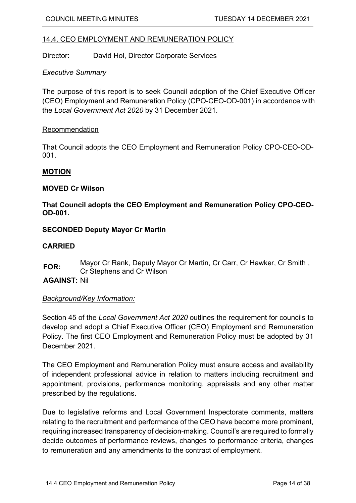# <span id="page-13-0"></span>14.4. CEO EMPLOYMENT AND REMUNERATION POLICY

Director: David Hol, Director Corporate Services

## *Executive Summary*

The purpose of this report is to seek Council adoption of the Chief Executive Officer (CEO) Employment and Remuneration Policy (CPO-CEO-OD-001) in accordance with the *Local Government Act 2020* by 31 December 2021.

## Recommendation

That Council adopts the CEO Employment and Remuneration Policy CPO-CEO-OD-001.

## **MOTION**

## **MOVED Cr Wilson**

# **That Council adopts the CEO Employment and Remuneration Policy CPO-CEO-OD-001.**

## **SECONDED Deputy Mayor Cr Martin**

## **CARRIED**

**FOR:** Mayor Cr Rank, Deputy Mayor Cr Martin, Cr Carr, Cr Hawker, Cr Smith , Cr Stephens and Cr Wilson

# **AGAINST:** Nil

# *Background/Key Information:*

Section 45 of the *Local Government Act 2020* outlines the requirement for councils to develop and adopt a Chief Executive Officer (CEO) Employment and Remuneration Policy. The first CEO Employment and Remuneration Policy must be adopted by 31 December 2021.

The CEO Employment and Remuneration Policy must ensure access and availability of independent professional advice in relation to matters including recruitment and appointment, provisions, performance monitoring, appraisals and any other matter prescribed by the regulations.

Due to legislative reforms and Local Government Inspectorate comments, matters relating to the recruitment and performance of the CEO have become more prominent, requiring increased transparency of decision-making. Council's are required to formally decide outcomes of performance reviews, changes to performance criteria, changes to remuneration and any amendments to the contract of employment.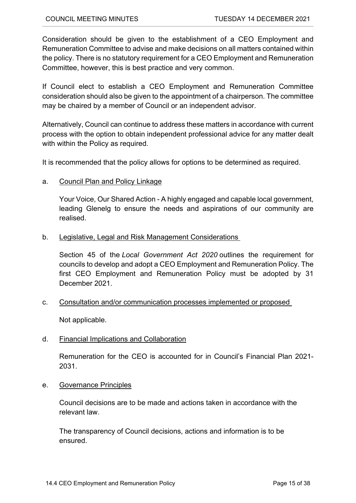Consideration should be given to the establishment of a CEO Employment and Remuneration Committee to advise and make decisions on all matters contained within the policy. There is no statutory requirement for a CEO Employment and Remuneration Committee, however, this is best practice and very common.

If Council elect to establish a CEO Employment and Remuneration Committee consideration should also be given to the appointment of a chairperson. The committee may be chaired by a member of Council or an independent advisor.

Alternatively, Council can continue to address these matters in accordance with current process with the option to obtain independent professional advice for any matter dealt with within the Policy as required.

It is recommended that the policy allows for options to be determined as required.

a. Council Plan and Policy Linkage

Your Voice, Our Shared Action - A highly engaged and capable local government, leading Glenelg to ensure the needs and aspirations of our community are realised.

b. Legislative, Legal and Risk Management Considerations

Section 45 of the *Local Government Act 2020* outlines the requirement for councils to develop and adopt a CEO Employment and Remuneration Policy. The first CEO Employment and Remuneration Policy must be adopted by 31 December 2021.

c. Consultation and/or communication processes implemented or proposed

Not applicable.

d. Financial Implications and Collaboration

Remuneration for the CEO is accounted for in Council's Financial Plan 2021- 2031.

e. Governance Principles

Council decisions are to be made and actions taken in accordance with the relevant law.

The transparency of Council decisions, actions and information is to be ensured.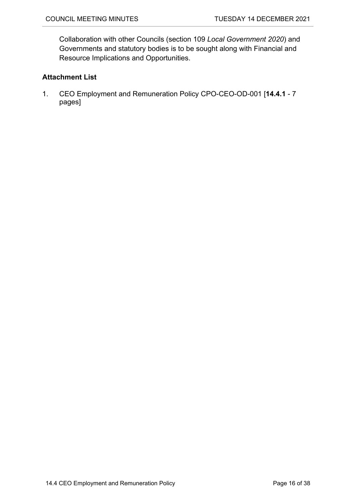Collaboration with other Councils (section 109 *Local Government 2020*) and Governments and statutory bodies is to be sought along with Financial and Resource Implications and Opportunities.

# **Attachment List**

1. CEO Employment and Remuneration Policy CPO-CEO-OD-001 [**14.4.1** - 7 pages]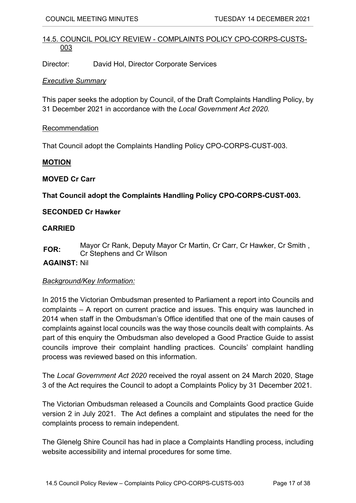# <span id="page-16-0"></span>14.5. COUNCIL POLICY REVIEW - COMPLAINTS POLICY CPO-CORPS-CUSTS-003

Director: David Hol, Director Corporate Services

## *Executive Summary*

This paper seeks the adoption by Council, of the Draft Complaints Handling Policy, by 31 December 2021 in accordance with the *Local Government Act 2020.*

## Recommendation

That Council adopt the Complaints Handling Policy CPO-CORPS-CUST-003.

## **MOTION**

## **MOVED Cr Carr**

**That Council adopt the Complaints Handling Policy CPO-CORPS-CUST-003.**

# **SECONDED Cr Hawker**

## **CARRIED**

**FOR:** Mayor Cr Rank, Deputy Mayor Cr Martin, Cr Carr, Cr Hawker, Cr Smith , Cr Stephens and Cr Wilson

# **AGAINST:** Nil

# *Background/Key Information:*

In 2015 the Victorian Ombudsman presented to Parliament a report into Councils and complaints – A report on current practice and issues. This enquiry was launched in 2014 when staff in the Ombudsman's Office identified that one of the main causes of complaints against local councils was the way those councils dealt with complaints. As part of this enquiry the Ombudsman also developed a Good Practice Guide to assist councils improve their complaint handling practices. Councils' complaint handling process was reviewed based on this information.

The *Local Government Act 2020* received the royal assent on 24 March 2020, Stage 3 of the Act requires the Council to adopt a Complaints Policy by 31 December 2021.

The Victorian Ombudsman released a Councils and Complaints Good practice Guide version 2 in July 2021. The Act defines a complaint and stipulates the need for the complaints process to remain independent.

The Glenelg Shire Council has had in place a Complaints Handling process, including website accessibility and internal procedures for some time.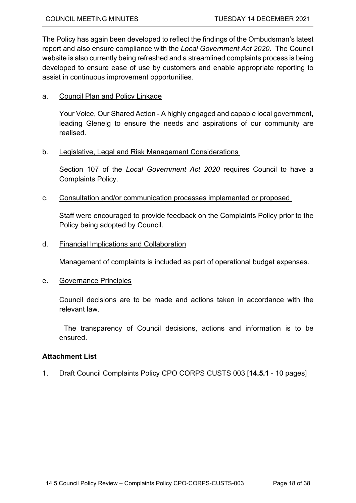The Policy has again been developed to reflect the findings of the Ombudsman's latest report and also ensure compliance with the *Local Government Act 2020*. The Council website is also currently being refreshed and a streamlined complaints process is being developed to ensure ease of use by customers and enable appropriate reporting to assist in continuous improvement opportunities.

# a. Council Plan and Policy Linkage

Your Voice, Our Shared Action - A highly engaged and capable local government, leading Glenelg to ensure the needs and aspirations of our community are realised.

# b. Legislative, Legal and Risk Management Considerations

Section 107 of the *Local Government Act 2020* requires Council to have a Complaints Policy.

c. Consultation and/or communication processes implemented or proposed

Staff were encouraged to provide feedback on the Complaints Policy prior to the Policy being adopted by Council.

# d. Financial Implications and Collaboration

Management of complaints is included as part of operational budget expenses.

# e. Governance Principles

Council decisions are to be made and actions taken in accordance with the relevant law.

The transparency of Council decisions, actions and information is to be ensured.

# **Attachment List**

1. Draft Council Complaints Policy CPO CORPS CUSTS 003 [**14.5.1** - 10 pages]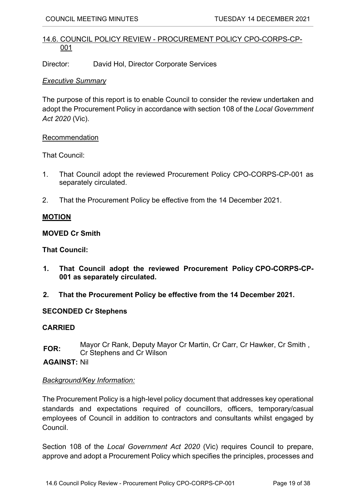# <span id="page-18-0"></span>14.6. COUNCIL POLICY REVIEW - PROCUREMENT POLICY CPO-CORPS-CP-001

Director: David Hol, Director Corporate Services

## *Executive Summary*

The purpose of this report is to enable Council to consider the review undertaken and adopt the Procurement Policy in accordance with section 108 of the *Local Government Act 2020* (Vic).

## Recommendation

That Council:

- 1. That Council adopt the reviewed Procurement Policy CPO-CORPS-CP-001 as separately circulated.
- 2. That the Procurement Policy be effective from the 14 December 2021.

# **MOTION**

## **MOVED Cr Smith**

## **That Council:**

- **1. That Council adopt the reviewed Procurement Policy CPO-CORPS-CP-001 as separately circulated.**
- **2. That the Procurement Policy be effective from the 14 December 2021.**

# **SECONDED Cr Stephens**

## **CARRIED**

**FOR:** Mayor Cr Rank, Deputy Mayor Cr Martin, Cr Carr, Cr Hawker, Cr Smith , Cr Stephens and Cr Wilson

**AGAINST:** Nil

# *Background/Key Information:*

The Procurement Policy is a high-level policy document that addresses key operational standards and expectations required of councillors, officers, temporary/casual employees of Council in addition to contractors and consultants whilst engaged by Council.

Section 108 of the *Local Government Act 2020* (Vic) requires Council to prepare, approve and adopt a Procurement Policy which specifies the principles, processes and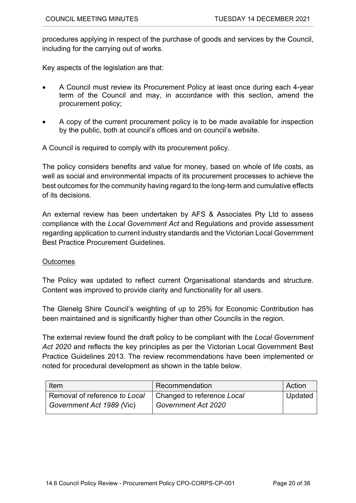procedures applying in respect of the purchase of goods and services by the Council, including for the carrying out of works.

Key aspects of the legislation are that:

- A Council must review its Procurement Policy at least once during each 4-year term of the Council and may, in accordance with this section, amend the procurement policy;
- A copy of the current procurement policy is to be made available for inspection by the public, both at council's offices and on council's website.

A Council is required to comply with its procurement policy.

The policy considers benefits and value for money, based on whole of life costs, as well as social and environmental impacts of its procurement processes to achieve the best outcomes for the community having regard to the long-term and cumulative effects of its decisions.

An external review has been undertaken by AFS & Associates Pty Ltd to assess compliance with the *Local Government Act* and Regulations and provide assessment regarding application to current industry standards and the Victorian Local Government Best Practice Procurement Guidelines.

# **Outcomes**

The Policy was updated to reflect current Organisational standards and structure. Content was improved to provide clarity and functionality for all users.

The Glenelg Shire Council's weighting of up to 25% for Economic Contribution has been maintained and is significantly higher than other Councils in the region.

The external review found the draft policy to be compliant with the *Local Government Act 2020* and reflects the key principles as per the Victorian Local Government Best Practice Guidelines 2013. The review recommendations have been implemented or noted for procedural development as shown in the table below.

| Item                          | Recommendation             | Action               |
|-------------------------------|----------------------------|----------------------|
| Removal of reference to Local | Changed to reference Local | <sup>⊥</sup> Updated |
| Government Act 1989 (Vic)     | Government Act 2020        |                      |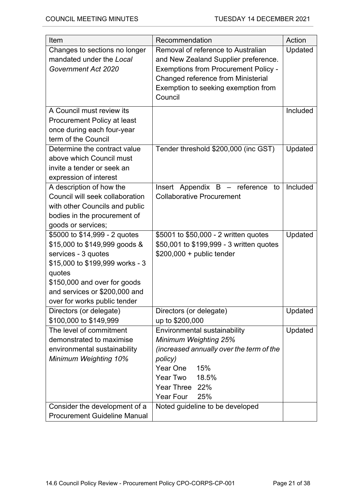| Item                                                                             | Recommendation                                                                                                                                                  | Action   |
|----------------------------------------------------------------------------------|-----------------------------------------------------------------------------------------------------------------------------------------------------------------|----------|
| Changes to sections no longer<br>mandated under the Local<br>Government Act 2020 | Removal of reference to Australian<br>and New Zealand Supplier preference.<br><b>Exemptions from Procurement Policy -</b><br>Changed reference from Ministerial | Updated  |
|                                                                                  | Exemption to seeking exemption from<br>Council                                                                                                                  |          |
| A Council must review its                                                        |                                                                                                                                                                 | Included |
| Procurement Policy at least                                                      |                                                                                                                                                                 |          |
| once during each four-year                                                       |                                                                                                                                                                 |          |
| term of the Council<br>Determine the contract value                              |                                                                                                                                                                 |          |
| above which Council must                                                         | Tender threshold \$200,000 (inc GST)                                                                                                                            | Updated  |
| invite a tender or seek an                                                       |                                                                                                                                                                 |          |
| expression of interest                                                           |                                                                                                                                                                 |          |
| A description of how the                                                         | Insert Appendix B - reference<br>to                                                                                                                             | Included |
| Council will seek collaboration                                                  | <b>Collaborative Procurement</b>                                                                                                                                |          |
| with other Councils and public                                                   |                                                                                                                                                                 |          |
| bodies in the procurement of                                                     |                                                                                                                                                                 |          |
| goods or services;<br>\$5000 to \$14,999 - 2 quotes                              | \$5001 to \$50,000 - 2 written quotes                                                                                                                           | Updated  |
| \$15,000 to \$149,999 goods &                                                    | \$50,001 to \$199,999 - 3 written quotes                                                                                                                        |          |
| services - 3 quotes                                                              | $$200,000 + public tender$                                                                                                                                      |          |
| \$15,000 to \$199,999 works - 3                                                  |                                                                                                                                                                 |          |
| quotes                                                                           |                                                                                                                                                                 |          |
| \$150,000 and over for goods                                                     |                                                                                                                                                                 |          |
| and services or \$200,000 and                                                    |                                                                                                                                                                 |          |
| over for works public tender                                                     |                                                                                                                                                                 |          |
| Directors (or delegate)<br>\$100,000 to \$149,999                                | Directors (or delegate)<br>up to \$200,000                                                                                                                      | Updated  |
| The level of commitment                                                          | Environmental sustainability                                                                                                                                    | Updated  |
| demonstrated to maximise                                                         | Minimum Weighting 25%                                                                                                                                           |          |
| environmental sustainability                                                     | (increased annually over the term of the                                                                                                                        |          |
| <b>Minimum Weighting 10%</b>                                                     | policy)                                                                                                                                                         |          |
|                                                                                  | Year One<br>15%                                                                                                                                                 |          |
|                                                                                  | Year Two<br>18.5%                                                                                                                                               |          |
|                                                                                  | Year Three 22%<br>Year Four<br>25%                                                                                                                              |          |
| Consider the development of a                                                    | Noted guideline to be developed                                                                                                                                 |          |
| <b>Procurement Guideline Manual</b>                                              |                                                                                                                                                                 |          |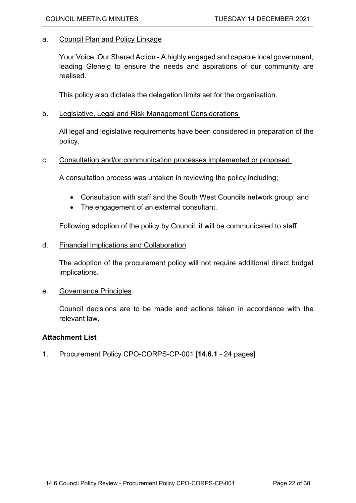## a. Council Plan and Policy Linkage

Your Voice, Our Shared Action - A highly engaged and capable local government, leading Glenelg to ensure the needs and aspirations of our community are realised.

This policy also dictates the delegation limits set for the organisation.

b. Legislative, Legal and Risk Management Considerations

All legal and legislative requirements have been considered in preparation of the policy.

## c. Consultation and/or communication processes implemented or proposed

A consultation process was untaken in reviewing the policy including;

- Consultation with staff and the South West Councils network group; and
- The engagement of an external consultant.

Following adoption of the policy by Council, it will be communicated to staff.

d. Financial Implications and Collaboration

The adoption of the procurement policy will not require additional direct budget implications.

## e. Governance Principles

Council decisions are to be made and actions taken in accordance with the relevant law.

## **Attachment List**

1. Procurement Policy CPO-CORPS-CP-001 [**14.6.1** - 24 pages]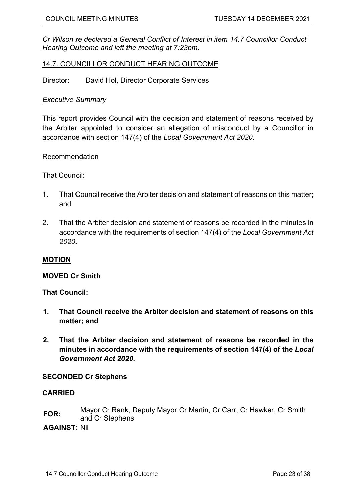*Cr Wilson re declared a General Conflict of Interest in item 14.7 Councillor Conduct Hearing Outcome and left the meeting at 7:23pm.*

# <span id="page-22-0"></span>14.7. COUNCILLOR CONDUCT HEARING OUTCOME

Director: David Hol, Director Corporate Services

## *Executive Summary*

This report provides Council with the decision and statement of reasons received by the Arbiter appointed to consider an allegation of misconduct by a Councillor in accordance with section 147(4) of the *Local Government Act 2020*.

## Recommendation

That Council:

- 1. That Council receive the Arbiter decision and statement of reasons on this matter; and
- 2. That the Arbiter decision and statement of reasons be recorded in the minutes in accordance with the requirements of section 147(4) of the *Local Government Act 2020.*

## **MOTION**

## **MOVED Cr Smith**

## **That Council:**

- **1. That Council receive the Arbiter decision and statement of reasons on this matter; and**
- **2. That the Arbiter decision and statement of reasons be recorded in the minutes in accordance with the requirements of section 147(4) of the** *Local Government Act 2020.*

## **SECONDED Cr Stephens**

## **CARRIED**

**FOR:** Mayor Cr Rank, Deputy Mayor Cr Martin, Cr Carr, Cr Hawker, Cr Smith and Cr Stephens

**AGAINST:** Nil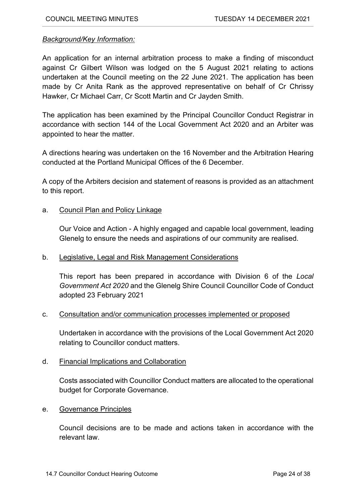## *Background/Key Information:*

An application for an internal arbitration process to make a finding of misconduct against Cr Gilbert Wilson was lodged on the 5 August 2021 relating to actions undertaken at the Council meeting on the 22 June 2021. The application has been made by Cr Anita Rank as the approved representative on behalf of Cr Chrissy Hawker, Cr Michael Carr, Cr Scott Martin and Cr Jayden Smith.

The application has been examined by the Principal Councillor Conduct Registrar in accordance with section 144 of the Local Government Act 2020 and an Arbiter was appointed to hear the matter.

A directions hearing was undertaken on the 16 November and the Arbitration Hearing conducted at the Portland Municipal Offices of the 6 December.

A copy of the Arbiters decision and statement of reasons is provided as an attachment to this report.

## a. Council Plan and Policy Linkage

Our Voice and Action - A highly engaged and capable local government, leading Glenelg to ensure the needs and aspirations of our community are realised.

## b. Legislative, Legal and Risk Management Considerations

This report has been prepared in accordance with Division 6 of the *Local Government Act 2020* and the Glenelg Shire Council Councillor Code of Conduct adopted 23 February 2021

## c. Consultation and/or communication processes implemented or proposed

Undertaken in accordance with the provisions of the Local Government Act 2020 relating to Councillor conduct matters.

## d. Financial Implications and Collaboration

Costs associated with Councillor Conduct matters are allocated to the operational budget for Corporate Governance.

## e. Governance Principles

Council decisions are to be made and actions taken in accordance with the relevant law.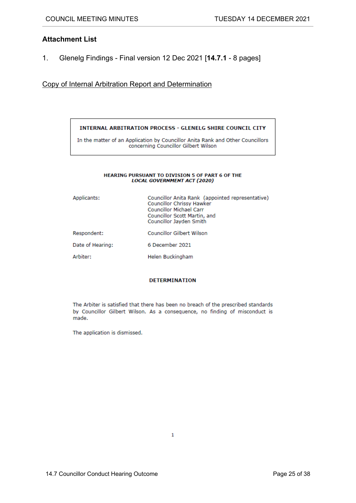## **Attachment List**

1. Glenelg Findings - Final version 12 Dec 2021 [**14.7.1** - 8 pages]

#### Copy of Internal Arbitration Report and Determination

#### **INTERNAL ARBITRATION PROCESS - GLENELG SHIRE COUNCIL CITY**

In the matter of an Application by Councillor Anita Rank and Other Councillors concerning Councillor Gilbert Wilson

#### HEARING PURSUANT TO DIVISION 5 OF PART 6 OF THE **LOCAL GOVERNMENT ACT (2020)**

| Applicants:      | Councillor Anita Rank (appointed representative)<br>Councillor Chrissy Hawker<br><b>Councillor Michael Carr</b><br>Councillor Scott Martin, and<br>Councillor Jayden Smith |
|------------------|----------------------------------------------------------------------------------------------------------------------------------------------------------------------------|
| Respondent:      | <b>Councillor Gilbert Wilson</b>                                                                                                                                           |
| Date of Hearing: | 6 December 2021                                                                                                                                                            |
| Arbiter:         | Helen Buckingham                                                                                                                                                           |

#### **DETERMINATION**

The Arbiter is satisfied that there has been no breach of the prescribed standards by Councillor Gilbert Wilson. As a consequence, no finding of misconduct is made.

The application is dismissed.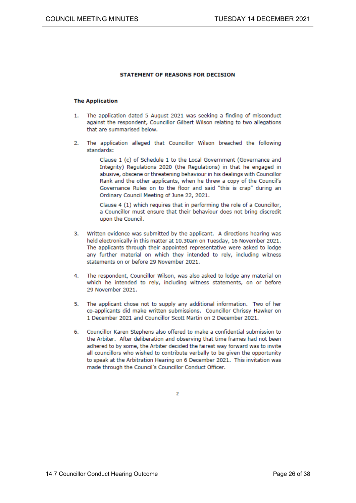#### **STATEMENT OF REASONS FOR DECISION**

#### **The Application**

- 1. The application dated 5 August 2021 was seeking a finding of misconduct against the respondent. Councillor Gilbert Wilson relating to two allegations that are summarised below.
- 2. The application alleged that Councillor Wilson breached the following standards:

Clause 1 (c) of Schedule 1 to the Local Government (Governance and Integrity) Regulations 2020 (the Regulations) in that he engaged in abusive, obscene or threatening behaviour in his dealings with Councillor Rank and the other applicants, when he threw a copy of the Council's Governance Rules on to the floor and said "this is crap" during an Ordinary Council Meeting of June 22, 2021.

Clause 4 (1) which requires that in performing the role of a Councillor, a Councillor must ensure that their behaviour does not bring discredit upon the Council.

- Written evidence was submitted by the applicant. A directions hearing was 3. held electronically in this matter at 10.30am on Tuesday, 16 November 2021. The applicants through their appointed representative were asked to lodge any further material on which they intended to rely, including witness statements on or before 29 November 2021.
- The respondent, Councillor Wilson, was also asked to lodge any material on 4. which he intended to rely, including witness statements, on or before 29 November 2021.
- 5. The applicant chose not to supply any additional information. Two of her co-applicants did make written submissions. Councillor Chrissy Hawker on 1 December 2021 and Councillor Scott Martin on 2 December 2021.
- Councillor Karen Stephens also offered to make a confidential submission to 6. the Arbiter. After deliberation and observing that time frames had not been adhered to by some, the Arbiter decided the fairest way forward was to invite all councillors who wished to contribute verbally to be given the opportunity to speak at the Arbitration Hearing on 6 December 2021. This invitation was made through the Council's Councillor Conduct Officer.

 $\overline{\mathbf{z}}$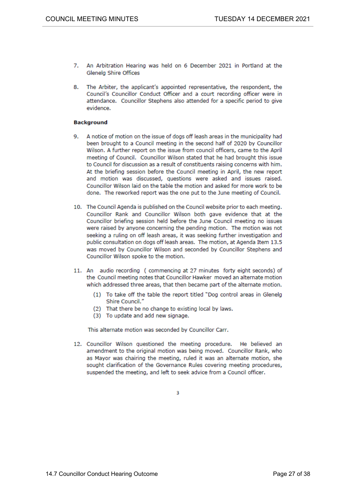- 7. An Arbitration Hearing was held on 6 December 2021 in Portland at the Glenelg Shire Offices
- 8. The Arbiter, the applicant's appointed representative, the respondent, the Council's Councillor Conduct Officer and a court recording officer were in attendance. Councillor Stephens also attended for a specific period to give evidence.

#### **Background**

- 9. A notice of motion on the issue of dogs off leash areas in the municipality had been brought to a Council meeting in the second half of 2020 by Councillor Wilson. A further report on the issue from council officers, came to the April meeting of Council. Councillor Wilson stated that he had brought this issue to Council for discussion as a result of constituents raising concerns with him. At the briefing session before the Council meeting in April, the new report and motion was discussed, questions were asked and issues raised. Councillor Wilson laid on the table the motion and asked for more work to be done. The reworked report was the one put to the June meeting of Council.
- 10. The Council Agenda is published on the Council website prior to each meeting. Councillor Rank and Councillor Wilson both gave evidence that at the Councillor briefing session held before the June Council meeting no issues were raised by anyone concerning the pending motion. The motion was not seeking a ruling on off leash areas, it was seeking further investigation and public consultation on dogs off leash areas. The motion, at Agenda Item 13.5 was moved by Councillor Wilson and seconded by Councillor Stephens and Councillor Wilson spoke to the motion.
- 11. An audio recording (commencing at 27 minutes forty eight seconds) of the Council meeting notes that Councillor Hawker moved an alternate motion which addressed three areas, that then became part of the alternate motion.
	- (1) To take off the table the report titled "Dog control areas in Glenelg Shire Council."
	- (2) That there be no change to existing local by laws.
	- (3) To update and add new signage.

This alternate motion was seconded by Councillor Carr.

12. Councillor Wilson questioned the meeting procedure. He believed an amendment to the original motion was being moved. Councillor Rank, who as Mayor was chairing the meeting, ruled it was an alternate motion, she sought clarification of the Governance Rules covering meeting procedures, suspended the meeting, and left to seek advice from a Council officer.

 $\overline{\mathbf{3}}$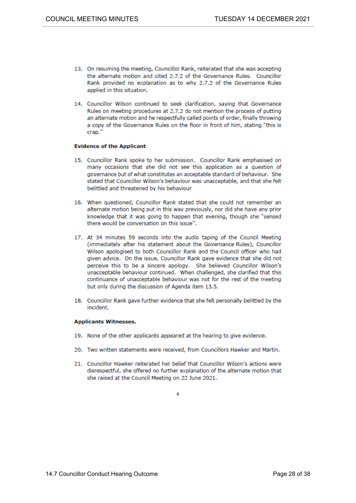- 13. On resuming the meeting, Councillor Rank, reiterated that she was accepting the alternate motion and cited 2.7.2 of the Governance Rules. Councillor Rank provided no explanation as to why 2.7.2 of the Governance Rules applied in this situation.
- 14. Councillor Wilson continued to seek clarification, saying that Governance Rules on meeting procedures at 2.7.2 do not mention the process of putting an alternate motion and he respectfully called points of order, finally throwing a copy of the Governance Rules on the floor in front of him, stating "this is crap."

#### **Evidence of the Applicant**

- 15. Councillor Rank spoke to her submission. Councillor Rank emphasised on many occasions that she did not see this application as a question of governance but of what constitutes an acceptable standard of behaviour. She stated that Councillor Wilson's behaviour was unacceptable, and that she felt belittled and threatened by his behaviour
- 16. When questioned, Councillor Rank stated that she could not remember an alternate motion being put in this way previously, nor did she have any prior knowledge that it was going to happen that evening, though she "sensed there would be conversation on this issue".
- 17. At 34 minutes 59 seconds into the audio taping of the Council Meeting (immediately after his statement about the Governance Rules), Councillor Wilson apologised to both Councillor Rank and the Council officer who had given advice. On the issue, Councillor Rank gave evidence that she did not perceive this to be a sincere apology. She believed Councillor Wilson's unacceptable behaviour continued. When challenged, she clarified that this continuance of unacceptable behaviour was not for the rest of the meeting but only during the discussion of Agenda item 13.5.
- 18. Councillor Rank gave further evidence that she felt personally belittled by the incident

#### **Applicants Witnesses.**

- 19. None of the other applicants appeared at the hearing to give evidence.
- 20. Two written statements were received, from Councillors Hawker and Martin.
- 21. Councillor Hawker reiterated her belief that Councillor Wilson's actions were disrespectful, she offered no further explanation of the alternate motion that she raised at the Council Meeting on 22 June 2021.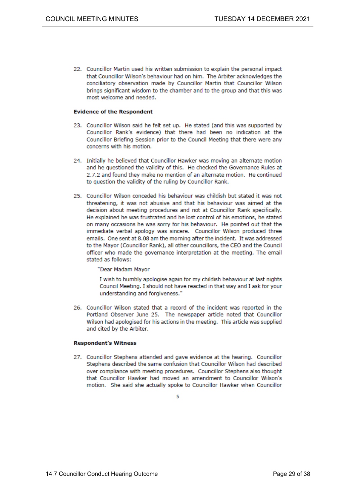22. Councillor Martin used his written submission to explain the personal impact that Councillor Wilson's behaviour had on him. The Arbiter acknowledges the conciliatory observation made by Councillor Martin that Councillor Wilson brings significant wisdom to the chamber and to the group and that this was most welcome and needed.

#### **Evidence of the Respondent**

- 23. Councillor Wilson said he felt set up. He stated (and this was supported by Councillor Rank's evidence) that there had been no indication at the Councillor Briefing Session prior to the Council Meeting that there were any concerns with his motion.
- 24. Initially he believed that Councillor Hawker was moving an alternate motion and he questioned the validity of this. He checked the Governance Rules at 2.7.2 and found they make no mention of an alternate motion. He continued to question the validity of the ruling by Councillor Rank.
- 25. Councillor Wilson conceded his behaviour was childish but stated it was not threatening, it was not abusive and that his behaviour was aimed at the decision about meeting procedures and not at Councillor Rank specifically. He explained he was frustrated and he lost control of his emotions, he stated on many occasions he was sorry for his behaviour. He pointed out that the immediate verbal apology was sincere. Councillor Wilson produced three emails. One sent at 8.08 am the morning after the incident. It was addressed to the Mayor (Councillor Rank), all other councillors, the CEO and the Council officer who made the governance interpretation at the meeting. The email stated as follows:

"Dear Madam Mayor

I wish to humbly apologise again for my childish behaviour at last nights Council Meeting. I should not have reacted in that way and I ask for your understanding and forgiveness."

26. Councillor Wilson stated that a record of the incident was reported in the Portland Observer June 25. The newspaper article noted that Councillor Wilson had apologised for his actions in the meeting. This article was supplied and cited by the Arbiter.

#### **Respondent's Witness**

27. Councillor Stephens attended and gave evidence at the hearing. Councillor Stephens described the same confusion that Councillor Wilson had described over compliance with meeting procedures. Councillor Stephens also thought that Councillor Hawker had moved an amendment to Councillor Wilson's motion. She said she actually spoke to Councillor Hawker when Councillor

5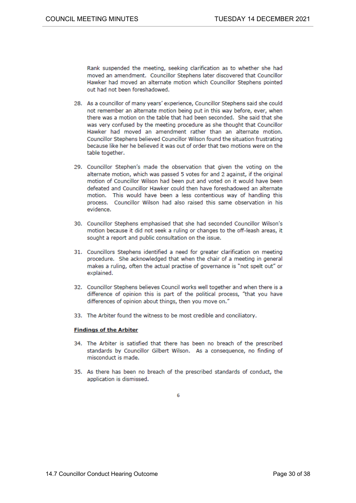Rank suspended the meeting, seeking clarification as to whether she had moved an amendment. Councillor Stephens later discovered that Councillor Hawker had moved an alternate motion which Councillor Stephens pointed out had not been foreshadowed.

- 28. As a councillor of many years' experience, Councillor Stephens said she could not remember an alternate motion being put in this way before, ever, when there was a motion on the table that had been seconded. She said that she was very confused by the meeting procedure as she thought that Councillor Hawker had moved an amendment rather than an alternate motion. Councillor Stephens believed Councillor Wilson found the situation frustrating because like her he believed it was out of order that two motions were on the table together.
- 29. Councillor Stephen's made the observation that given the voting on the alternate motion, which was passed 5 votes for and 2 against, if the original motion of Councillor Wilson had been put and voted on it would have been defeated and Councillor Hawker could then have foreshadowed an alternate motion. This would have been a less contentious way of handling this process. Councillor Wilson had also raised this same observation in his evidence.
- 30. Councillor Stephens emphasised that she had seconded Councillor Wilson's motion because it did not seek a ruling or changes to the off-leash areas, it sought a report and public consultation on the issue.
- 31. Councillors Stephens identified a need for greater clarification on meeting procedure. She acknowledged that when the chair of a meeting in general makes a ruling, often the actual practise of governance is "not spelt out" or explained.
- 32. Councillor Stephens believes Council works well together and when there is a difference of opinion this is part of the political process, "that you have differences of opinion about things, then you move on."
- 33. The Arbiter found the witness to be most credible and conciliatory.

#### **Findings of the Arbiter**

- 34. The Arbiter is satisfied that there has been no breach of the prescribed standards by Councillor Gilbert Wilson. As a consequence, no finding of misconduct is made.
- 35. As there has been no breach of the prescribed standards of conduct, the application is dismissed.

6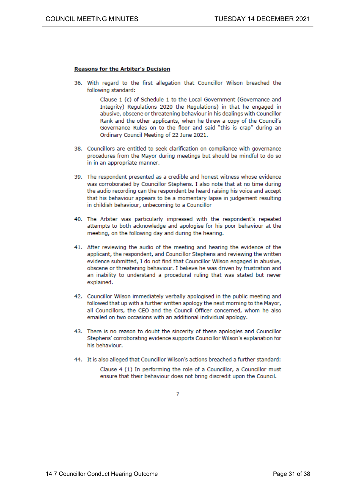#### **Reasons for the Arbiter's Decision**

36. With regard to the first allegation that Councillor Wilson breached the following standard:

> Clause 1 (c) of Schedule 1 to the Local Government (Governance and Integrity) Regulations 2020 the Regulations) in that he engaged in abusive, obscene or threatening behaviour in his dealings with Councillor Rank and the other applicants, when he threw a copy of the Council's Governance Rules on to the floor and said "this is crap" during an Ordinary Council Meeting of 22 June 2021.

- 38. Councillors are entitled to seek clarification on compliance with governance procedures from the Mayor during meetings but should be mindful to do so in in an appropriate manner.
- 39. The respondent presented as a credible and honest witness whose evidence was corroborated by Councillor Stephens. I also note that at no time during the audio recording can the respondent be heard raising his voice and accept that his behaviour appears to be a momentary lapse in judgement resulting in childish behaviour, unbecoming to a Councillor
- 40. The Arbiter was particularly impressed with the respondent's repeated attempts to both acknowledge and apologise for his poor behaviour at the meeting, on the following day and during the hearing.
- 41. After reviewing the audio of the meeting and hearing the evidence of the applicant, the respondent, and Councillor Stephens and reviewing the written evidence submitted, I do not find that Councillor Wilson engaged in abusive, obscene or threatening behaviour. I believe he was driven by frustration and an inability to understand a procedural ruling that was stated but never explained.
- 42. Councillor Wilson immediately verbally apologised in the public meeting and followed that up with a further written apology the next morning to the Mayor, all Councillors, the CEO and the Council Officer concerned, whom he also emailed on two occasions with an additional individual apology.
- 43. There is no reason to doubt the sincerity of these apologies and Councillor Stephens' corroborating evidence supports Councillor Wilson's explanation for his behaviour.
- 44. It is also alleged that Councillor Wilson's actions breached a further standard:

Clause 4 (1) In performing the role of a Councillor, a Councillor must ensure that their behaviour does not bring discredit upon the Council.

7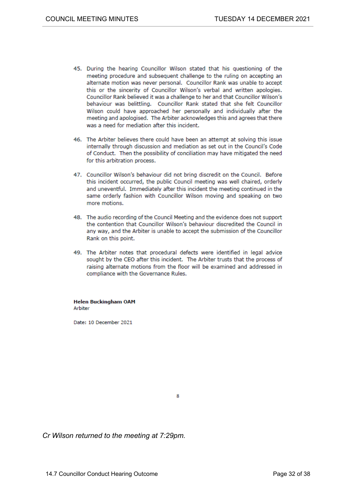- 45. During the hearing Councillor Wilson stated that his questioning of the meeting procedure and subsequent challenge to the ruling on accepting an alternate motion was never personal. Councillor Rank was unable to accept this or the sincerity of Councillor Wilson's verbal and written apologies. Councillor Rank believed it was a challenge to her and that Councillor Wilson's behaviour was belittling. Councillor Rank stated that she felt Councillor Wilson could have approached her personally and individually after the meeting and apologised. The Arbiter acknowledges this and agrees that there was a need for mediation after this incident.
- 46. The Arbiter believes there could have been an attempt at solving this issue internally through discussion and mediation as set out in the Council's Code of Conduct. Then the possibility of conciliation may have mitigated the need for this arbitration process.
- 47. Councillor Wilson's behaviour did not bring discredit on the Council. Before this incident occurred, the public Council meeting was well chaired, orderly and uneventful. Immediately after this incident the meeting continued in the same orderly fashion with Councillor Wilson moving and speaking on two more motions.
- 48. The audio recording of the Council Meeting and the evidence does not support the contention that Councillor Wilson's behaviour discredited the Council in any way, and the Arbiter is unable to accept the submission of the Councillor Rank on this point.
- 49. The Arbiter notes that procedural defects were identified in legal advice sought by the CEO after this incident. The Arbiter trusts that the process of raising alternate motions from the floor will be examined and addressed in compliance with the Governance Rules.

**Helen Buckingham OAM** Arbiter

Date: 10 December 2021

8

*Cr Wilson returned to the meeting at 7:29pm.*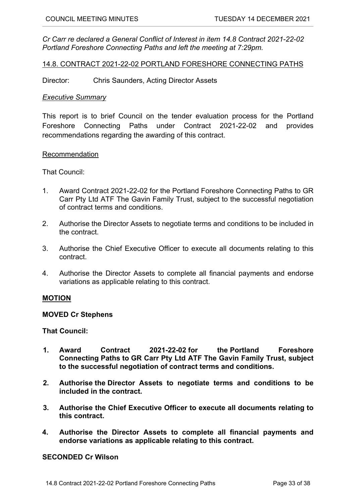*Cr Carr re declared a General Conflict of Interest in item 14.8 Contract 2021-22-02 Portland Foreshore Connecting Paths and left the meeting at 7:29pm.*

<span id="page-32-0"></span>14.8. CONTRACT 2021-22-02 PORTLAND FORESHORE CONNECTING PATHS

Director: Chris Saunders, Acting Director Assets

#### *Executive Summary*

This report is to brief Council on the tender evaluation process for the Portland Foreshore Connecting Paths under Contract 2021-22-02 and provides recommendations regarding the awarding of this contract.

#### Recommendation

That Council:

- 1. Award Contract 2021-22-02 for the Portland Foreshore Connecting Paths to GR Carr Pty Ltd ATF The Gavin Family Trust, subject to the successful negotiation of contract terms and conditions.
- 2. Authorise the Director Assets to negotiate terms and conditions to be included in the contract.
- 3. Authorise the Chief Executive Officer to execute all documents relating to this contract.
- 4. Authorise the Director Assets to complete all financial payments and endorse variations as applicable relating to this contract.

## **MOTION**

#### **MOVED Cr Stephens**

**That Council:**

- **1. Award Contract 2021-22-02 for the Portland Foreshore Connecting Paths to GR Carr Pty Ltd ATF The Gavin Family Trust, subject to the successful negotiation of contract terms and conditions.**
- **2. Authorise the Director Assets to negotiate terms and conditions to be included in the contract.**
- **3. Authorise the Chief Executive Officer to execute all documents relating to this contract.**
- **4. Authorise the Director Assets to complete all financial payments and endorse variations as applicable relating to this contract.**

## **SECONDED Cr Wilson**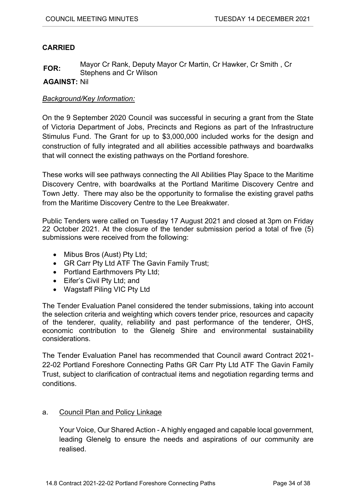# **CARRIED**

**FOR:** Mayor Cr Rank, Deputy Mayor Cr Martin, Cr Hawker, Cr Smith, Cr Stephens and Cr Wilson

**AGAINST:** Nil

# *Background/Key Information:*

On the 9 September 2020 Council was successful in securing a grant from the State of Victoria Department of Jobs, Precincts and Regions as part of the Infrastructure Stimulus Fund. The Grant for up to \$3,000,000 included works for the design and construction of fully integrated and all abilities accessible pathways and boardwalks that will connect the existing pathways on the Portland foreshore.

These works will see pathways connecting the All Abilities Play Space to the Maritime Discovery Centre, with boardwalks at the Portland Maritime Discovery Centre and Town Jetty. There may also be the opportunity to formalise the existing gravel paths from the Maritime Discovery Centre to the Lee Breakwater.

Public Tenders were called on Tuesday 17 August 2021 and closed at 3pm on Friday 22 October 2021. At the closure of the tender submission period a total of five (5) submissions were received from the following:

- Mibus Bros (Aust) Pty Ltd;
- GR Carr Pty Ltd ATF The Gavin Family Trust;
- Portland Earthmovers Pty Ltd;
- Eifer's Civil Pty Ltd; and
- Wagstaff Piling VIC Pty Ltd

The Tender Evaluation Panel considered the tender submissions, taking into account the selection criteria and weighting which covers tender price, resources and capacity of the tenderer, quality, reliability and past performance of the tenderer, OHS, economic contribution to the Glenelg Shire and environmental sustainability considerations.

The Tender Evaluation Panel has recommended that Council award Contract 2021- 22-02 Portland Foreshore Connecting Paths GR Carr Pty Ltd ATF The Gavin Family Trust, subject to clarification of contractual items and negotiation regarding terms and conditions.

# a. Council Plan and Policy Linkage

Your Voice, Our Shared Action - A highly engaged and capable local government, leading Glenelg to ensure the needs and aspirations of our community are realised.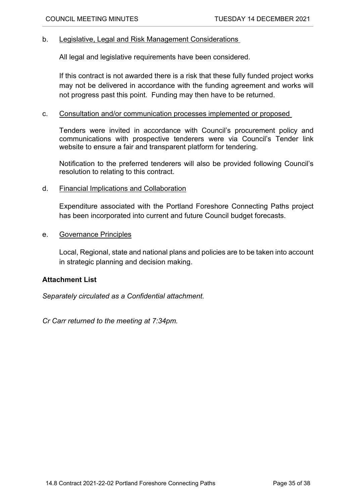## b. Legislative, Legal and Risk Management Considerations

All legal and legislative requirements have been considered.

If this contract is not awarded there is a risk that these fully funded project works may not be delivered in accordance with the funding agreement and works will not progress past this point. Funding may then have to be returned.

## c. Consultation and/or communication processes implemented or proposed

Tenders were invited in accordance with Council's procurement policy and communications with prospective tenderers were via Council's Tender link website to ensure a fair and transparent platform for tendering.

Notification to the preferred tenderers will also be provided following Council's resolution to relating to this contract.

## d. Financial Implications and Collaboration

Expenditure associated with the Portland Foreshore Connecting Paths project has been incorporated into current and future Council budget forecasts.

## e. Governance Principles

Local, Regional, state and national plans and policies are to be taken into account in strategic planning and decision making.

# **Attachment List**

*Separately circulated as a Confidential attachment.*

*Cr Carr returned to the meeting at 7:34pm.*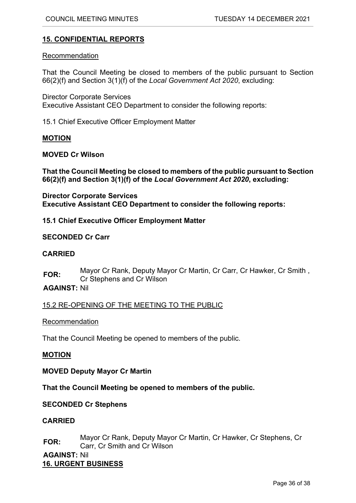# <span id="page-35-0"></span>**15. CONFIDENTIAL REPORTS**

## Recommendation

That the Council Meeting be closed to members of the public pursuant to Section 66(2)(f) and Section 3(1)(f) of the *Local Government Act 2020*, excluding:

Director Corporate Services Executive Assistant CEO Department to consider the following reports:

15.1 Chief Executive Officer Employment Matter

## **MOTION**

## **MOVED Cr Wilson**

**That the Council Meeting be closed to members of the public pursuant to Section 66(2)(f) and Section 3(1)(f) of the** *Local Government Act 2020***, excluding:**

**Director Corporate Services Executive Assistant CEO Department to consider the following reports:**

## **15.1 Chief Executive Officer Employment Matter**

## **SECONDED Cr Carr**

## **CARRIED**

**FOR:** Mayor Cr Rank, Deputy Mayor Cr Martin, Cr Carr, Cr Hawker, Cr Smith , Cr Stephens and Cr Wilson

## **AGAINST:** Nil

15.2 RE-OPENING OF THE MEETING TO THE PUBLIC

## Recommendation

That the Council Meeting be opened to members of the public.

## **MOTION**

**MOVED Deputy Mayor Cr Martin**

## **That the Council Meeting be opened to members of the public.**

## **SECONDED Cr Stephens**

## **CARRIED**

**FOR:** Mayor Cr Rank, Deputy Mayor Cr Martin, Cr Hawker, Cr Stephens, Cr Carr, Cr Smith and Cr Wilson

<span id="page-35-1"></span>**AGAINST:** Nil **16. URGENT BUSINESS**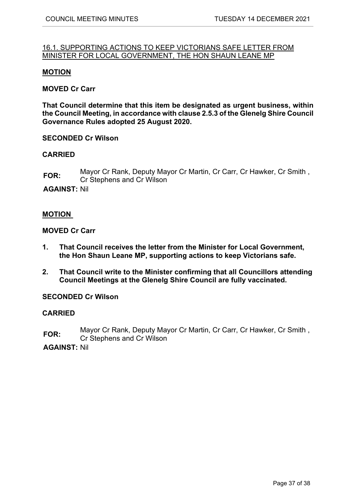## <span id="page-36-0"></span>16.1. SUPPORTING ACTIONS TO KEEP VICTORIANS SAFE LETTER FROM MINISTER FOR LOCAL GOVERNMENT, THE HON SHAUN LEANE MP

#### **MOTION**

## **MOVED Cr Carr**

**That Council determine that this item be designated as urgent business, within the Council Meeting, in accordance with clause 2.5.3 of the Glenelg Shire Council Governance Rules adopted 25 August 2020.**

#### **SECONDED Cr Wilson**

## **CARRIED**

**FOR:** Mayor Cr Rank, Deputy Mayor Cr Martin, Cr Carr, Cr Hawker, Cr Smith , Cr Stephens and Cr Wilson

**AGAINST:** Nil

#### **MOTION**

#### **MOVED Cr Carr**

- **1. That Council receives the letter from the Minister for Local Government, the Hon Shaun Leane MP, supporting actions to keep Victorians safe.**
- **2. That Council write to the Minister confirming that all Councillors attending Council Meetings at the Glenelg Shire Council are fully vaccinated.**

#### **SECONDED Cr Wilson**

#### **CARRIED**

**FOR:** Mayor Cr Rank, Deputy Mayor Cr Martin, Cr Carr, Cr Hawker, Cr Smith , Cr Stephens and Cr Wilson

**AGAINST:** Nil